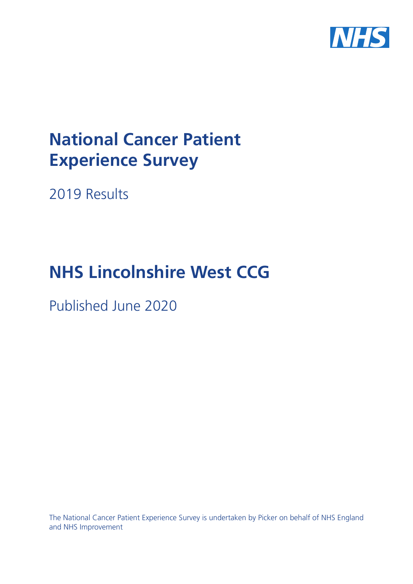

# **National Cancer Patient Experience Survey**

2019 Results

# **NHS Lincolnshire West CCG**

Published June 2020

The National Cancer Patient Experience Survey is undertaken by Picker on behalf of NHS England and NHS Improvement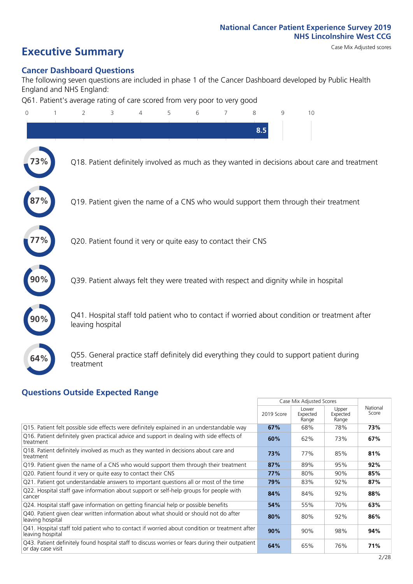# **Executive Summary** Case Mix Adjusted scores

#### **Cancer Dashboard Questions**

The following seven questions are included in phase 1 of the Cancer Dashboard developed by Public Health England and NHS England:

Q61. Patient's average rating of care scored from very poor to very good

| $\overline{0}$ | $\overline{2}$                                                | 3 | 4 | 5 | 6 | 7 | 8   | 9 | 10                                                                                            |  |
|----------------|---------------------------------------------------------------|---|---|---|---|---|-----|---|-----------------------------------------------------------------------------------------------|--|
|                |                                                               |   |   |   |   |   | 8.5 |   |                                                                                               |  |
| 73%            |                                                               |   |   |   |   |   |     |   | Q18. Patient definitely involved as much as they wanted in decisions about care and treatment |  |
|                |                                                               |   |   |   |   |   |     |   | Q19. Patient given the name of a CNS who would support them through their treatment           |  |
|                | Q20. Patient found it very or quite easy to contact their CNS |   |   |   |   |   |     |   |                                                                                               |  |
|                |                                                               |   |   |   |   |   |     |   | Q39. Patient always felt they were treated with respect and dignity while in hospital         |  |
|                | leaving hospital                                              |   |   |   |   |   |     |   | Q41. Hospital staff told patient who to contact if worried about condition or treatment after |  |
| 64%            | treatment                                                     |   |   |   |   |   |     |   | Q55. General practice staff definitely did everything they could to support patient during    |  |
|                |                                                               |   |   |   |   |   |     |   |                                                                                               |  |

#### **Questions Outside Expected Range**

|                                                                                                                       |            | Case Mix Adjusted Scores   |                            |                   |
|-----------------------------------------------------------------------------------------------------------------------|------------|----------------------------|----------------------------|-------------------|
|                                                                                                                       | 2019 Score | Lower<br>Expected<br>Range | Upper<br>Expected<br>Range | National<br>Score |
| Q15. Patient felt possible side effects were definitely explained in an understandable way                            | 67%        | 68%                        | 78%                        | 73%               |
| Q16. Patient definitely given practical advice and support in dealing with side effects of<br>treatment               | 60%        | 62%                        | 73%                        | 67%               |
| Q18. Patient definitely involved as much as they wanted in decisions about care and<br>treatment                      | 73%        | 77%                        | 85%                        | 81%               |
| Q19. Patient given the name of a CNS who would support them through their treatment                                   | 87%        | 89%                        | 95%                        | 92%               |
| Q20. Patient found it very or quite easy to contact their CNS                                                         | 77%        | 80%                        | 90%                        | 85%               |
| Q21. Patient got understandable answers to important questions all or most of the time                                | 79%        | 83%                        | 92%                        | 87%               |
| Q22. Hospital staff gave information about support or self-help groups for people with<br>cancer                      | 84%        | 84%                        | 92%                        | 88%               |
| Q24. Hospital staff gave information on getting financial help or possible benefits                                   | 54%        | 55%                        | 70%                        | 63%               |
| Q40. Patient given clear written information about what should or should not do after<br>leaving hospital             | 80%        | 80%                        | 92%                        | 86%               |
| Q41. Hospital staff told patient who to contact if worried about condition or treatment after<br>leaving hospital     | 90%        | 90%                        | 98%                        | 94%               |
| Q43. Patient definitely found hospital staff to discuss worries or fears during their outpatient<br>or day case visit | 64%        | 65%                        | 76%                        | 71%               |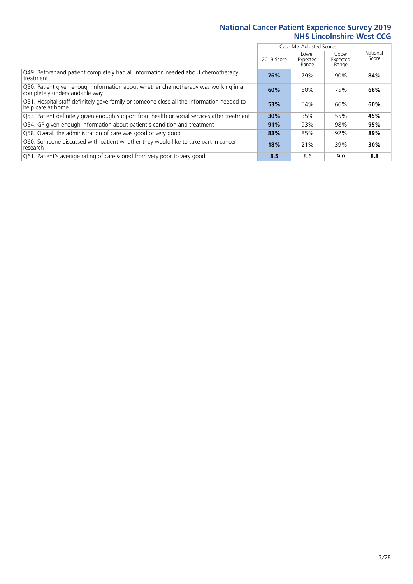|                                                                                                                    |            | Case Mix Adjusted Scores   |                            |                   |
|--------------------------------------------------------------------------------------------------------------------|------------|----------------------------|----------------------------|-------------------|
|                                                                                                                    | 2019 Score | Lower<br>Expected<br>Range | Upper<br>Expected<br>Range | National<br>Score |
| Q49. Beforehand patient completely had all information needed about chemotherapy<br>treatment                      | 76%        | 79%                        | 90%                        | 84%               |
| Q50. Patient given enough information about whether chemotherapy was working in a<br>completely understandable way | 60%        | 60%                        | 75%                        | 68%               |
| Q51. Hospital staff definitely gave family or someone close all the information needed to<br>help care at home     | 53%        | 54%                        | 66%                        | 60%               |
| Q53. Patient definitely given enough support from health or social services after treatment                        | 30%        | 35%                        | 55%                        | 45%               |
| Q54. GP given enough information about patient's condition and treatment                                           | 91%        | 93%                        | 98%                        | 95%               |
| Q58. Overall the administration of care was good or very good                                                      | 83%        | 85%                        | 92%                        | 89%               |
| Q60. Someone discussed with patient whether they would like to take part in cancer<br>research                     | 18%        | 21%                        | 39%                        | 30%               |
| Q61. Patient's average rating of care scored from very poor to very good                                           | 8.5        | 8.6                        | 9.0                        | 8.8               |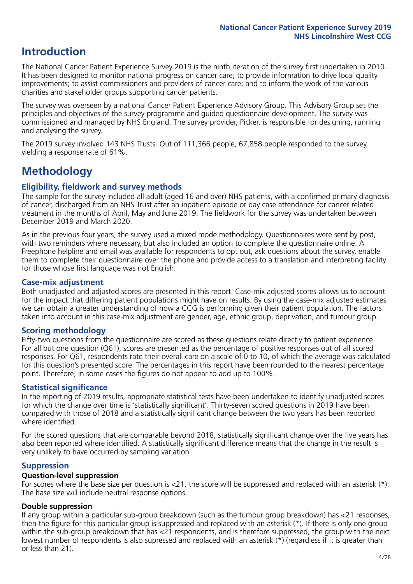### **Introduction**

The National Cancer Patient Experience Survey 2019 is the ninth iteration of the survey first undertaken in 2010. It has been designed to monitor national progress on cancer care; to provide information to drive local quality improvements; to assist commissioners and providers of cancer care; and to inform the work of the various charities and stakeholder groups supporting cancer patients.

The survey was overseen by a national Cancer Patient Experience Advisory Group. This Advisory Group set the principles and objectives of the survey programme and guided questionnaire development. The survey was commissioned and managed by NHS England. The survey provider, Picker, is responsible for designing, running and analysing the survey.

The 2019 survey involved 143 NHS Trusts. Out of 111,366 people, 67,858 people responded to the survey, yielding a response rate of 61%.

# **Methodology**

#### **Eligibility, fieldwork and survey methods**

The sample for the survey included all adult (aged 16 and over) NHS patients, with a confirmed primary diagnosis of cancer, discharged from an NHS Trust after an inpatient episode or day case attendance for cancer related treatment in the months of April, May and June 2019. The fieldwork for the survey was undertaken between December 2019 and March 2020.

As in the previous four years, the survey used a mixed mode methodology. Questionnaires were sent by post, with two reminders where necessary, but also included an option to complete the questionnaire online. A Freephone helpline and email was available for respondents to opt out, ask questions about the survey, enable them to complete their questionnaire over the phone and provide access to a translation and interpreting facility for those whose first language was not English.

#### **Case-mix adjustment**

Both unadjusted and adjusted scores are presented in this report. Case-mix adjusted scores allows us to account for the impact that differing patient populations might have on results. By using the case-mix adjusted estimates we can obtain a greater understanding of how a CCG is performing given their patient population. The factors taken into account in this case-mix adjustment are gender, age, ethnic group, deprivation, and tumour group.

#### **Scoring methodology**

Fifty-two questions from the questionnaire are scored as these questions relate directly to patient experience. For all but one question (Q61), scores are presented as the percentage of positive responses out of all scored responses. For Q61, respondents rate their overall care on a scale of 0 to 10, of which the average was calculated for this question's presented score. The percentages in this report have been rounded to the nearest percentage point. Therefore, in some cases the figures do not appear to add up to 100%.

#### **Statistical significance**

In the reporting of 2019 results, appropriate statistical tests have been undertaken to identify unadjusted scores for which the change over time is 'statistically significant'. Thirty-seven scored questions in 2019 have been compared with those of 2018 and a statistically significant change between the two years has been reported where identified.

For the scored questions that are comparable beyond 2018, statistically significant change over the five years has also been reported where identified. A statistically significant difference means that the change in the result is very unlikely to have occurred by sampling variation.

#### **Suppression**

#### **Question-level suppression**

For scores where the base size per question is  $<$ 21, the score will be suppressed and replaced with an asterisk (\*). The base size will include neutral response options.

#### **Double suppression**

If any group within a particular sub-group breakdown (such as the tumour group breakdown) has <21 responses, then the figure for this particular group is suppressed and replaced with an asterisk (\*). If there is only one group within the sub-group breakdown that has <21 respondents, and is therefore suppressed, the group with the next lowest number of respondents is also supressed and replaced with an asterisk (\*) (regardless if it is greater than or less than 21).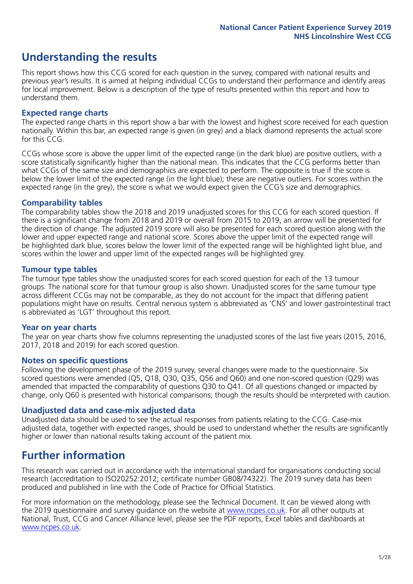## **Understanding the results**

This report shows how this CCG scored for each question in the survey, compared with national results and previous year's results. It is aimed at helping individual CCGs to understand their performance and identify areas for local improvement. Below is a description of the type of results presented within this report and how to understand them.

#### **Expected range charts**

The expected range charts in this report show a bar with the lowest and highest score received for each question nationally. Within this bar, an expected range is given (in grey) and a black diamond represents the actual score for this CCG.

CCGs whose score is above the upper limit of the expected range (in the dark blue) are positive outliers, with a score statistically significantly higher than the national mean. This indicates that the CCG performs better than what CCGs of the same size and demographics are expected to perform. The opposite is true if the score is below the lower limit of the expected range (in the light blue); these are negative outliers. For scores within the expected range (in the grey), the score is what we would expect given the CCG's size and demographics.

#### **Comparability tables**

The comparability tables show the 2018 and 2019 unadjusted scores for this CCG for each scored question. If there is a significant change from 2018 and 2019 or overall from 2015 to 2019, an arrow will be presented for the direction of change. The adjusted 2019 score will also be presented for each scored question along with the lower and upper expected range and national score. Scores above the upper limit of the expected range will be highlighted dark blue, scores below the lower limit of the expected range will be highlighted light blue, and scores within the lower and upper limit of the expected ranges will be highlighted grey.

#### **Tumour type tables**

The tumour type tables show the unadjusted scores for each scored question for each of the 13 tumour groups. The national score for that tumour group is also shown. Unadjusted scores for the same tumour type across different CCGs may not be comparable, as they do not account for the impact that differing patient populations might have on results. Central nervous system is abbreviated as 'CNS' and lower gastrointestinal tract is abbreviated as 'LGT' throughout this report.

#### **Year on year charts**

The year on year charts show five columns representing the unadjusted scores of the last five years (2015, 2016, 2017, 2018 and 2019) for each scored question.

#### **Notes on specific questions**

Following the development phase of the 2019 survey, several changes were made to the questionnaire. Six scored questions were amended (Q5, Q18, Q30, Q35, Q56 and Q60) and one non-scored question (Q29) was amended that impacted the comparability of questions Q30 to Q41. Of all questions changed or impacted by change, only Q60 is presented with historical comparisons; though the results should be interpreted with caution.

#### **Unadjusted data and case-mix adjusted data**

Unadjusted data should be used to see the actual responses from patients relating to the CCG. Case-mix adjusted data, together with expected ranges, should be used to understand whether the results are significantly higher or lower than national results taking account of the patient mix.

### **Further information**

This research was carried out in accordance with the international standard for organisations conducting social research (accreditation to ISO20252:2012; certificate number GB08/74322). The 2019 survey data has been produced and published in line with the Code of Practice for Official Statistics.

For more information on the methodology, please see the Technical Document. It can be viewed along with the 2019 questionnaire and survey quidance on the website at [www.ncpes.co.uk](https://www.ncpes.co.uk/supporting-documents). For all other outputs at National, Trust, CCG and Cancer Alliance level, please see the PDF reports, Excel tables and dashboards at [www.ncpes.co.uk.](https://www.ncpes.co.uk/current-results)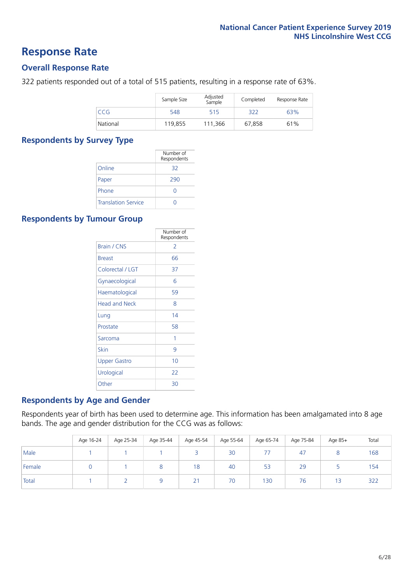### **Response Rate**

#### **Overall Response Rate**

322 patients responded out of a total of 515 patients, resulting in a response rate of 63%.

|          | Sample Size | Adjusted<br>Sample | Completed | Response Rate |
|----------|-------------|--------------------|-----------|---------------|
| CCG      | 548         | 515                | 322       | 63%           |
| National | 119,855     | 111,366            | 67,858    | 61%           |

#### **Respondents by Survey Type**

|                            | Number of<br>Respondents |
|----------------------------|--------------------------|
| Online                     | 32                       |
| Paper                      | 290                      |
| Phone                      | $\left( \right)$         |
| <b>Translation Service</b> |                          |

#### **Respondents by Tumour Group**

|                      | Number of<br>Respondents |
|----------------------|--------------------------|
| <b>Brain / CNS</b>   | $\mathcal{P}$            |
| <b>Breast</b>        | 66                       |
| Colorectal / LGT     | 37                       |
| Gynaecological       | 6                        |
| Haematological       | 59                       |
| <b>Head and Neck</b> | 8                        |
| Lung                 | 14                       |
| Prostate             | 58                       |
| Sarcoma              | 1                        |
| Skin                 | 9                        |
| <b>Upper Gastro</b>  | 10                       |
| Urological           | 22                       |
| Other                | 30                       |

#### **Respondents by Age and Gender**

Respondents year of birth has been used to determine age. This information has been amalgamated into 8 age bands. The age and gender distribution for the CCG was as follows:

|        | Age 16-24 | Age 25-34 | Age 35-44 | Age 45-54 | Age 55-64 | Age 65-74 | Age 75-84 | Age 85+ | Total |
|--------|-----------|-----------|-----------|-----------|-----------|-----------|-----------|---------|-------|
| Male   |           |           |           |           | 30        |           | 47        |         | 168   |
| Female |           |           | 8         | 18        | 40        | 53        | 29        |         | 154   |
| Total  |           |           |           | 21        | 70        | 130       | 76        | 13      | 322   |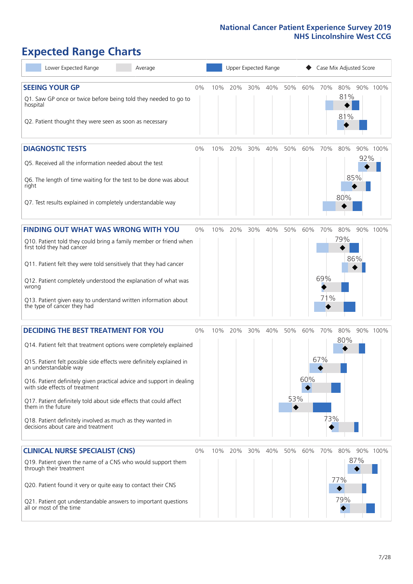# **Expected Range Charts**

| Lower Expected Range<br>Average                                                                                                                                                                                                                                                                                                                                                                                                                                                                                             |       |     | Upper Expected Range |     |     |                               |            | Case Mix Adjusted Score |                   |            |          |
|-----------------------------------------------------------------------------------------------------------------------------------------------------------------------------------------------------------------------------------------------------------------------------------------------------------------------------------------------------------------------------------------------------------------------------------------------------------------------------------------------------------------------------|-------|-----|----------------------|-----|-----|-------------------------------|------------|-------------------------|-------------------|------------|----------|
| <b>SEEING YOUR GP</b><br>Q1. Saw GP once or twice before being told they needed to go to<br>hospital<br>Q2. Patient thought they were seen as soon as necessary                                                                                                                                                                                                                                                                                                                                                             | 0%    | 10% | 20%                  | 30% | 40% | 50%                           | 60%        | 70%                     | 80%<br>81%<br>81% |            | 90% 100% |
| <b>DIAGNOSTIC TESTS</b><br>Q5. Received all the information needed about the test<br>Q6. The length of time waiting for the test to be done was about<br>right<br>Q7. Test results explained in completely understandable way                                                                                                                                                                                                                                                                                               | 0%    | 10% | 20%                  | 30% | 40% | 50%                           | 60%        | 70%                     | 80%<br>80%        | 92%<br>85% | 90% 100% |
| <b>FINDING OUT WHAT WAS WRONG WITH YOU</b><br>Q10. Patient told they could bring a family member or friend when<br>first told they had cancer<br>Q11. Patient felt they were told sensitively that they had cancer<br>Q12. Patient completely understood the explanation of what was<br>wrong<br>Q13. Patient given easy to understand written information about<br>the type of cancer they had                                                                                                                             | $0\%$ | 10% | 20%                  | 30% | 40% | 50%                           | 60%        | 70%<br>69%<br>71%       | 80%<br>79%        | 86%        | 90% 100% |
| <b>DECIDING THE BEST TREATMENT FOR YOU</b><br>Q14. Patient felt that treatment options were completely explained<br>Q15. Patient felt possible side effects were definitely explained in<br>an understandable way<br>Q16. Patient definitely given practical advice and support in dealing<br>with side effects of treatment<br>Q17. Patient definitely told about side effects that could affect<br>them in the future<br>Q18. Patient definitely involved as much as they wanted in<br>decisions about care and treatment | 0%    | 10% | 20%                  | 30% | 40% | 50%<br>53%<br>$\blacklozenge$ | 60%<br>60% | 70%<br>67%<br>73%       | 80%<br>80%        |            | 90% 100% |
| <b>CLINICAL NURSE SPECIALIST (CNS)</b><br>Q19. Patient given the name of a CNS who would support them<br>through their treatment<br>Q20. Patient found it very or quite easy to contact their CNS<br>Q21. Patient got understandable answers to important questions<br>all or most of the time                                                                                                                                                                                                                              | 0%    | 10% | 20%                  | 30% | 40% | 50%                           | 60%        | 70%                     | 80%<br>77%<br>79% | 90%<br>87% | 100%     |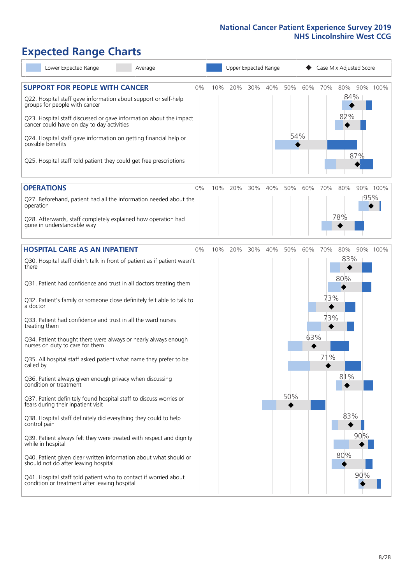# **Expected Range Charts**

| Lower Expected Range<br>Average                                                                                                                                                                                                                                                                                                                                                                                               |    |     |     |     | Upper Expected Range |            |     |            | Case Mix Adjusted Score |     |          |
|-------------------------------------------------------------------------------------------------------------------------------------------------------------------------------------------------------------------------------------------------------------------------------------------------------------------------------------------------------------------------------------------------------------------------------|----|-----|-----|-----|----------------------|------------|-----|------------|-------------------------|-----|----------|
| <b>SUPPORT FOR PEOPLE WITH CANCER</b><br>Q22. Hospital staff gave information about support or self-help<br>groups for people with cancer<br>Q23. Hospital staff discussed or gave information about the impact<br>cancer could have on day to day activities<br>Q24. Hospital staff gave information on getting financial help or<br>possible benefits<br>Q25. Hospital staff told patient they could get free prescriptions | 0% | 10% | 20% | 30% | 40%                  | 50%<br>54% | 60% | 70%        | 80%<br>84%<br>82%       | 87% | 90% 100% |
| <b>OPERATIONS</b>                                                                                                                                                                                                                                                                                                                                                                                                             | 0% | 10% | 20% | 30% | 40%                  | 50%        | 60% | 70%        | 80%                     |     | 90% 100% |
| Q27. Beforehand, patient had all the information needed about the<br>operation<br>Q28. Afterwards, staff completely explained how operation had<br>gone in understandable way                                                                                                                                                                                                                                                 |    |     |     |     |                      |            |     |            | 78%                     | 95% |          |
| <b>HOSPITAL CARE AS AN INPATIENT</b>                                                                                                                                                                                                                                                                                                                                                                                          | 0% | 10% | 20% | 30% | 40%                  | 50%        | 60% | 70%        | 80%                     |     | 90% 100% |
| Q30. Hospital staff didn't talk in front of patient as if patient wasn't<br>there<br>Q31. Patient had confidence and trust in all doctors treating them<br>Q32. Patient's family or someone close definitely felt able to talk to<br>a doctor<br>Q33. Patient had confidence and trust in all the ward nurses<br>treating them<br>Q34. Patient thought there were always or nearly always enough                              |    |     |     |     |                      |            | 63% | 73%<br>73% | 83%<br>80%              |     |          |
| nurses on duty to care for them<br>Q35. All hospital staff asked patient what name they prefer to be<br>called by                                                                                                                                                                                                                                                                                                             |    |     |     |     |                      |            |     | 71%        |                         |     |          |
| Q36. Patient always given enough privacy when discussing<br>condition or treatment<br>Q37. Patient definitely found hospital staff to discuss worries or<br>fears during their inpatient visit                                                                                                                                                                                                                                |    |     |     |     |                      | 50%        |     |            | 81%                     |     |          |
| Q38. Hospital staff definitely did everything they could to help<br>control pain<br>Q39. Patient always felt they were treated with respect and dignity<br>while in hospital<br>Q40. Patient given clear written information about what should or<br>should not do after leaving hospital                                                                                                                                     |    |     |     |     |                      |            |     |            | 83%<br>80%              | 90% |          |
| Q41. Hospital staff told patient who to contact if worried about<br>condition or treatment after leaving hospital                                                                                                                                                                                                                                                                                                             |    |     |     |     |                      |            |     |            |                         | 90% |          |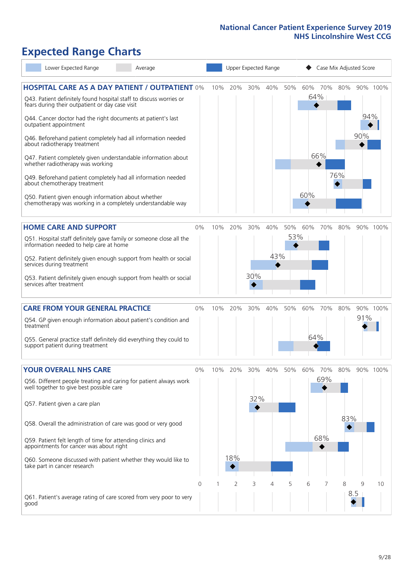# **Expected Range Charts**

| Lower Expected Range                                                                                                  | Average |       |     |                |     | Upper Expected Range |     |     |     | Case Mix Adjusted Score |     |          |
|-----------------------------------------------------------------------------------------------------------------------|---------|-------|-----|----------------|-----|----------------------|-----|-----|-----|-------------------------|-----|----------|
| <b>HOSPITAL CARE AS A DAY PATIENT / OUTPATIENT 0%</b>                                                                 |         |       | 10% | 20%            | 30% | 40%                  | 50% | 60% | 70% | 80%                     |     | 90% 100% |
| Q43. Patient definitely found hospital staff to discuss worries or<br>fears during their outpatient or day case visit |         |       |     |                |     |                      |     |     | 64% |                         |     |          |
| Q44. Cancer doctor had the right documents at patient's last<br>outpatient appointment                                |         |       |     |                |     |                      |     |     |     |                         | 94% |          |
| Q46. Beforehand patient completely had all information needed<br>about radiotherapy treatment                         |         |       |     |                |     |                      |     |     |     |                         | 90% |          |
| Q47. Patient completely given understandable information about<br>whether radiotherapy was working                    |         |       |     |                |     |                      |     |     | 66% |                         |     |          |
| Q49. Beforehand patient completely had all information needed<br>about chemotherapy treatment                         |         |       |     |                |     |                      |     |     |     | 76%                     |     |          |
| Q50. Patient given enough information about whether<br>chemotherapy was working in a completely understandable way    |         |       |     |                |     |                      |     | 60% |     |                         |     |          |
| <b>HOME CARE AND SUPPORT</b>                                                                                          |         | 0%    | 10% | 20%            | 30% | 40%                  | 50% | 60% | 70% | 80%                     |     | 90% 100% |
| Q51. Hospital staff definitely gave family or someone close all the<br>information needed to help care at home        |         |       |     |                |     |                      | 53% |     |     |                         |     |          |
| Q52. Patient definitely given enough support from health or social<br>services during treatment                       |         |       |     |                |     | 43%                  |     |     |     |                         |     |          |
| Q53. Patient definitely given enough support from health or social<br>services after treatment                        |         |       |     |                | 30% |                      |     |     |     |                         |     |          |
| <b>CARE FROM YOUR GENERAL PRACTICE</b>                                                                                |         | 0%    |     | 10% 20%        | 30% | 40%                  | 50% | 60% | 70% | 80%                     |     | 90% 100% |
| Q54. GP given enough information about patient's condition and<br>treatment                                           |         |       |     |                |     |                      |     |     |     |                         | 91% |          |
| Q55. General practice staff definitely did everything they could to<br>support patient during treatment               |         |       |     |                |     |                      |     | 64% |     |                         |     |          |
| <b>YOUR OVERALL NHS CARE</b>                                                                                          |         | $0\%$ | 10% | 20%            | 30% | 40%                  | 50% | 60% | 70% | 80%                     |     | 90% 100% |
| Q56. Different people treating and caring for patient always work<br>well together to give best possible care         |         |       |     |                |     |                      |     |     | 69% |                         |     |          |
| Q57. Patient given a care plan                                                                                        |         |       |     |                | 32% |                      |     |     |     |                         |     |          |
| Q58. Overall the administration of care was good or very good                                                         |         |       |     |                |     |                      |     |     |     | 83%                     |     |          |
| Q59. Patient felt length of time for attending clinics and<br>appointments for cancer was about right                 |         |       |     |                |     |                      |     |     | 68% |                         |     |          |
| Q60. Someone discussed with patient whether they would like to<br>take part in cancer research                        |         |       |     | 18%            |     |                      |     |     |     |                         |     |          |
|                                                                                                                       |         | 0     |     | $\overline{2}$ | 3   | 4                    | 5   | 6   | 7   | 8                       | 9   | 10       |
| Q61. Patient's average rating of care scored from very poor to very<br>good                                           |         |       |     |                |     |                      |     |     |     |                         | 8.5 |          |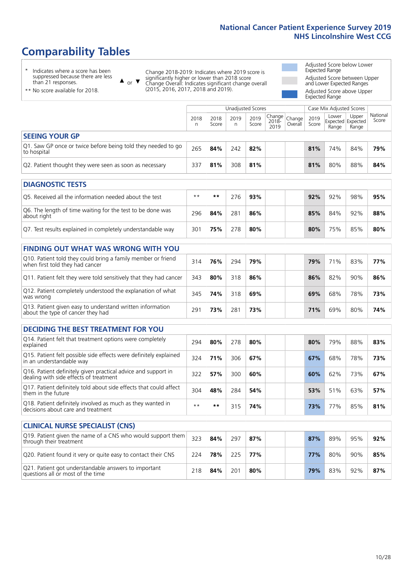# **Comparability Tables**

**CLINICAL NURSE SPECIALIST (CNS)**

\* Indicates where a score has been suppressed because there are less than 21 responses.

\*\* No score available for 2018.

or  $\blacktriangledown$  $\blacktriangle$ 

Change 2018-2019: Indicates where 2019 score is significantly higher or lower than 2018 score Change Overall: Indicates significant change overall (2015, 2016, 2017, 2018 and 2019).

Adjusted Score below Lower Expected Range Adjusted Score between Upper and Lower Expected Ranges Adjusted Score above Upper Expected Range

|                                                                             |           |               | Unadjusted Scores |               |                                             |         |               | Case Mix Adjusted Scores |                                     |                   |
|-----------------------------------------------------------------------------|-----------|---------------|-------------------|---------------|---------------------------------------------|---------|---------------|--------------------------|-------------------------------------|-------------------|
|                                                                             | 2018<br>n | 2018<br>Score | 2019<br>n         | 2019<br>Score | $\sim$   Change   Change  <br>2018-<br>2019 | Overall | 2019<br>Score | Lower<br>Range           | Upper<br>Expected Expected<br>Range | National<br>Score |
| <b>SEEING YOUR GP</b>                                                       |           |               |                   |               |                                             |         |               |                          |                                     |                   |
| Q1. Saw GP once or twice before being told they needed to go<br>to hospital | 265       | 84%           | 242               | 82%           |                                             |         | 81%           | 74%                      | 84%                                 | 79%               |
| Q2. Patient thought they were seen as soon as necessary                     | 337       | 81%           | 308               | 81%           |                                             |         | 81%           | 80%                      | 88%                                 | 84%               |
| <b>DIAGNOSTIC TESTS</b>                                                     |           |               |                   |               |                                             |         |               |                          |                                     |                   |

| -----------------                                                         |      |     |     |     |  |     |     |     |     |
|---------------------------------------------------------------------------|------|-----|-----|-----|--|-----|-----|-----|-----|
| O5. Received all the information needed about the test                    | $**$ | **  | 276 | 93% |  | 92% | 92% | 98% | 95% |
| Q6. The length of time waiting for the test to be done was<br>about right | 296  | 84% | 281 | 86% |  | 85% | 84% | 92% | 88% |
| Q7. Test results explained in completely understandable way               | 301  | 75% | 278 | 80% |  | 80% | 75% | 85% | 80% |

#### **FINDING OUT WHAT WAS WRONG WITH YOU** Q10. Patient told they could bring a family member or friend when first told they had cancer <sup>314</sup> **76%** <sup>294</sup> **79% 79%** 71% 83% **77%** Q11. Patient felt they were told sensitively that they had cancer 343 **80%** 318 **86% 86%** 82% 90% **86%** Q12. Patient completely understood the explanation of what was wrong 345 **74%** 318 **69% 69%** 68% 78% **73%** Q13. Patient given easy to understand written information about the type of cancer they had <sup>291</sup> **73%** <sup>281</sup> **73% 71%** 69% 80% **74%**

| <b>DECIDING THE BEST TREATMENT FOR YOU</b>                                                              |      |       |     |     |     |     |     |     |
|---------------------------------------------------------------------------------------------------------|------|-------|-----|-----|-----|-----|-----|-----|
| Q14. Patient felt that treatment options were completely<br>explained                                   | 294  | 80%   | 278 | 80% | 80% | 79% | 88% | 83% |
| Q15. Patient felt possible side effects were definitely explained<br>in an understandable way           | 324  | 71%   | 306 | 67% | 67% | 68% | 78% | 73% |
| Q16. Patient definitely given practical advice and support in<br>dealing with side effects of treatment | 322  | 57%   | 300 | 60% | 60% | 62% | 73% | 67% |
| Q17. Patient definitely told about side effects that could affect<br>them in the future                 | 304  | 48%   | 284 | 54% | 53% | 51% | 63% | 57% |
| Q18. Patient definitely involved as much as they wanted in<br>decisions about care and treatment        | $**$ | $* *$ | 315 | 74% | 73% | 77% | 85% | 81% |

| <b>CLINICAL NURSE SPECIALIST (CNS)</b>                                                    |     |     |     |     |     |     |     |     |
|-------------------------------------------------------------------------------------------|-----|-----|-----|-----|-----|-----|-----|-----|
| Q19. Patient given the name of a CNS who would support them<br>through their treatment    | 323 | 84% | 297 | 87% | 87% | 89% | 95% | 92% |
| Q20. Patient found it very or quite easy to contact their CNS                             | 224 | 78% | 225 | 77% | 77% | 80% | 90% | 85% |
| Q21. Patient got understandable answers to important<br>questions all or most of the time | 218 | 84% | 201 | 80% | 79% | 83% | 92% | 87% |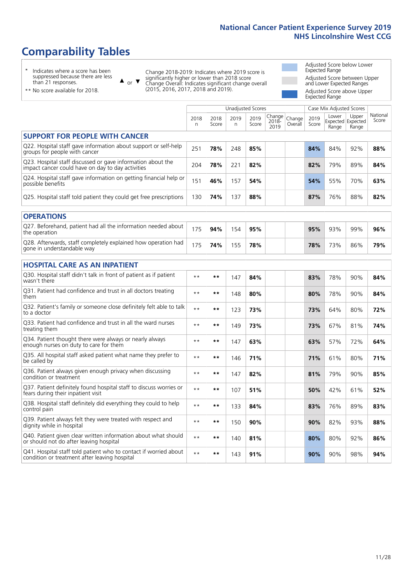# **Comparability Tables**

\* Indicates where a score has been suppressed because there are less than 21 responses.

\*\* No score available for 2018.

 $\triangle$  or  $\nabla$ 

Change 2018-2019: Indicates where 2019 score is significantly higher or lower than 2018 score Change Overall: Indicates significant change overall (2015, 2016, 2017, 2018 and 2019).

Adjusted Score below Lower Expected Range Adjusted Score between Upper and Lower Expected Ranges Adjusted Score above Upper Expected Range

|                                                                                                                   |              |               |           | <b>Unadjusted Scores</b> |                         |                   |               | Case Mix Adjusted Scores            |                |                   |
|-------------------------------------------------------------------------------------------------------------------|--------------|---------------|-----------|--------------------------|-------------------------|-------------------|---------------|-------------------------------------|----------------|-------------------|
|                                                                                                                   | 2018<br>n    | 2018<br>Score | 2019<br>n | 2019<br>Score            | Change<br>2018-<br>2019 | Change<br>Overall | 2019<br>Score | Lower<br>Expected Expected<br>Range | Upper<br>Range | National<br>Score |
| <b>SUPPORT FOR PEOPLE WITH CANCER</b>                                                                             |              |               |           |                          |                         |                   |               |                                     |                |                   |
| Q22. Hospital staff gave information about support or self-help<br>groups for people with cancer                  | 251          | 78%           | 248       | 85%                      |                         |                   | 84%           | 84%                                 | 92%            | 88%               |
| Q23. Hospital staff discussed or gave information about the<br>impact cancer could have on day to day activities  | 204          | 78%           | 221       | 82%                      |                         |                   | 82%           | 79%                                 | 89%            | 84%               |
| Q24. Hospital staff gave information on getting financial help or<br>possible benefits                            | 151          | 46%           | 157       | 54%                      |                         |                   | 54%           | 55%                                 | 70%            | 63%               |
| Q25. Hospital staff told patient they could get free prescriptions                                                | 130          | 74%           | 137       | 88%                      |                         |                   | 87%           | 76%                                 | 88%            | 82%               |
| <b>OPERATIONS</b>                                                                                                 |              |               |           |                          |                         |                   |               |                                     |                |                   |
| Q27. Beforehand, patient had all the information needed about<br>the operation                                    | 175          | 94%           | 154       | 95%                      |                         |                   | 95%           | 93%                                 | 99%            | 96%               |
| Q28. Afterwards, staff completely explained how operation had<br>gone in understandable way                       | 175          | 74%           | 155       | 78%                      |                         |                   | 78%           | 73%                                 | 86%            | 79%               |
| <b>HOSPITAL CARE AS AN INPATIENT</b>                                                                              |              |               |           |                          |                         |                   |               |                                     |                |                   |
| Q30. Hospital staff didn't talk in front of patient as if patient<br>wasn't there                                 | $**$         | **            | 147       | 84%                      |                         |                   | 83%           | 78%                                 | 90%            | 84%               |
| Q31. Patient had confidence and trust in all doctors treating<br>them                                             | $\star\star$ | **            | 148       | 80%                      |                         |                   | 80%           | 78%                                 | 90%            | 84%               |
| Q32. Patient's family or someone close definitely felt able to talk<br>to a doctor                                | $\star\star$ | **            | 123       | 73%                      |                         |                   | 73%           | 64%                                 | 80%            | 72%               |
| Q33. Patient had confidence and trust in all the ward nurses<br>treating them                                     | $\star\star$ | **            | 149       | 73%                      |                         |                   | 73%           | 67%                                 | 81%            | 74%               |
| Q34. Patient thought there were always or nearly always<br>enough nurses on duty to care for them                 | $**$         | **            | 147       | 63%                      |                         |                   | 63%           | 57%                                 | 72%            | 64%               |
| Q35. All hospital staff asked patient what name they prefer to<br>be called by                                    | $**$         | **            | 146       | 71%                      |                         |                   | 71%           | 61%                                 | 80%            | 71%               |
| Q36. Patient always given enough privacy when discussing<br>condition or treatment                                | $\star\star$ | **            | 147       | 82%                      |                         |                   | 81%           | 79%                                 | 90%            | 85%               |
| Q37. Patient definitely found hospital staff to discuss worries or<br>fears during their inpatient visit          | $\star\star$ | **            | 107       | 51%                      |                         |                   | 50%           | 42%                                 | 61%            | 52%               |
| Q38. Hospital staff definitely did everything they could to help<br>control pain                                  | $\star\star$ | **            | 133       | 84%                      |                         |                   | 83%           | 76%                                 | 89%            | 83%               |
| Q39. Patient always felt they were treated with respect and<br>dignity while in hospital                          | $\star\star$ | **            | 150       | 90%                      |                         |                   | 90%           | 82%                                 | 93%            | 88%               |
| Q40. Patient given clear written information about what should<br>or should not do after leaving hospital         | $**$         | **            | 140       | 81%                      |                         |                   | 80%           | 80%                                 | 92%            | 86%               |
| Q41. Hospital staff told patient who to contact if worried about<br>condition or treatment after leaving hospital | $**$         | **            | 143       | 91%                      |                         |                   | 90%           | 90%                                 | 98%            | 94%               |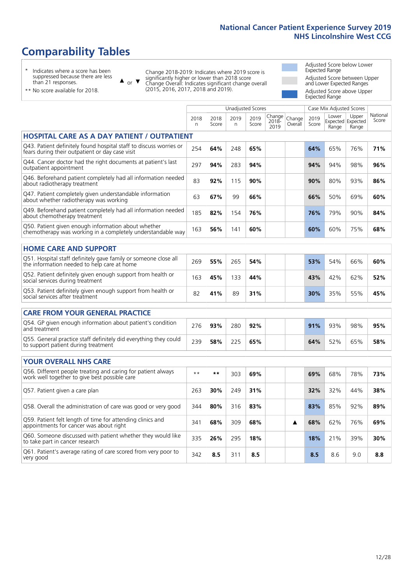# **Comparability Tables**

\* Indicates where a score has been suppressed because there are less than 21 responses.

\*\* No score available for 2018.

 $\triangle$  or  $\nabla$ 

Change 2018-2019: Indicates where 2019 score is significantly higher or lower than 2018 score Change Overall: Indicates significant change overall (2015, 2016, 2017, 2018 and 2019).

Adjusted Score below Lower Expected Range Adjusted Score between Upper and Lower Expected Ranges Adjusted Score above Upper Expected Range

|                                                                                                                       |           |               |            | <b>Unadjusted Scores</b> |                         |                   |               | Case Mix Adjusted Scores |                                     |                   |
|-----------------------------------------------------------------------------------------------------------------------|-----------|---------------|------------|--------------------------|-------------------------|-------------------|---------------|--------------------------|-------------------------------------|-------------------|
|                                                                                                                       | 2018<br>n | 2018<br>Score | 2019<br>n. | 2019<br>Score            | Change<br>2018-<br>2019 | Change<br>Overall | 2019<br>Score | Lower<br>Range           | Upper<br>Expected Expected<br>Range | National<br>Score |
| <b>HOSPITAL CARE AS A DAY PATIENT / OUTPATIENT</b>                                                                    |           |               |            |                          |                         |                   |               |                          |                                     |                   |
| Q43. Patient definitely found hospital staff to discuss worries or<br>fears during their outpatient or day case visit | 254       | 64%           | 248        | 65%                      |                         |                   | 64%           | 65%                      | 76%                                 | 71%               |
| Q44. Cancer doctor had the right documents at patient's last<br>outpatient appointment                                | 297       | 94%           | 283        | 94%                      |                         |                   | 94%           | 94%                      | 98%                                 | 96%               |
| Q46. Beforehand patient completely had all information needed<br>about radiotherapy treatment                         | 83        | 92%           | 115        | 90%                      |                         |                   | 90%           | 80%                      | 93%                                 | 86%               |
| Q47. Patient completely given understandable information<br>about whether radiotherapy was working                    | 63        | 67%           | 99         | 66%                      |                         |                   | 66%           | 50%                      | 69%                                 | 60%               |
| Q49. Beforehand patient completely had all information needed<br>about chemotherapy treatment                         | 185       | 82%           | 154        | 76%                      |                         |                   | 76%           | 79%                      | 90%                                 | 84%               |
| Q50. Patient given enough information about whether<br>chemotherapy was working in a completely understandable way    | 163       | 56%           | 141        | 60%                      |                         |                   | 60%           | 60%                      | 75%                                 | 68%               |
| <b>HOME CARE AND SUPPORT</b>                                                                                          |           |               |            |                          |                         |                   |               |                          |                                     |                   |
| Q51. Hospital staff definitely gave family or someone close all<br>the information needed to help care at home        | 269       | 55%           | 265        | 54%                      |                         |                   | 53%           | 54%                      | 66%                                 | 60%               |
| Q52. Patient definitely given enough support from health or<br>social services during treatment                       | 163       | 45%           | 133        | 44%                      |                         |                   | 43%           | 42%                      | 62%                                 | 52%               |
| Q53. Patient definitely given enough support from health or<br>social services after treatment                        | 82        | 41%           | 89         | 31%                      |                         |                   | 30%           | 35%                      | 55%                                 | 45%               |
| <b>CARE FROM YOUR GENERAL PRACTICE</b>                                                                                |           |               |            |                          |                         |                   |               |                          |                                     |                   |
| Q54. GP given enough information about patient's condition<br>and treatment                                           | 276       | 93%           | 280        | 92%                      |                         |                   | 91%           | 93%                      | 98%                                 | 95%               |
| Q55. General practice staff definitely did everything they could<br>to support patient during treatment               | 239       | 58%           | 225        | 65%                      |                         |                   | 64%           | 52%                      | 65%                                 | 58%               |
| <b>YOUR OVERALL NHS CARE</b>                                                                                          |           |               |            |                          |                         |                   |               |                          |                                     |                   |
| Q56. Different people treating and caring for patient always                                                          | $* *$     | $***$         | 303        | 69%                      |                         |                   | 69%           | 68%                      | 78%                                 | 73%               |
| work well together to give best possible care                                                                         |           |               |            |                          |                         |                   |               |                          |                                     |                   |
| Q57. Patient given a care plan                                                                                        | 263       | 30%           | 249        | 31%                      |                         |                   | 32%           | 32%                      | 44%                                 | 38%               |
| Q58. Overall the administration of care was good or very good                                                         | 344       | 80%           | 316        | 83%                      |                         |                   | 83%           | 85%                      | 92%                                 | 89%               |
| Q59. Patient felt length of time for attending clinics and<br>appointments for cancer was about right                 | 341       | 68%           | 309        | 68%                      |                         | ▲                 | 68%           | 62%                      | 76%                                 | 69%               |
| Q60. Someone discussed with patient whether they would like<br>to take part in cancer research                        | 335       | 26%           | 295        | 18%                      |                         |                   | 18%           | 21%                      | 39%                                 | 30%               |
| Q61. Patient's average rating of care scored from very poor to<br>very good                                           | 342       | 8.5           | 311        | 8.5                      |                         |                   | 8.5           | 8.6                      | 9.0                                 | 8.8               |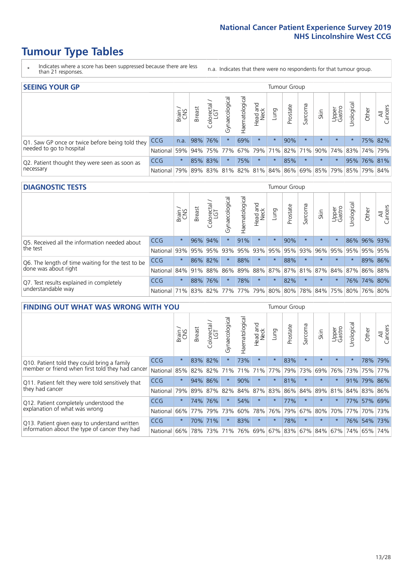- \* Indicates where a score has been suppressed because there are less than 21 responses.
- n.a. Indicates that there were no respondents for that tumour group.

| <b>SEEING YOUR GP</b>                           |            |              |               |            |                   |                |                  |         | Tumour Group |         |         |                 |                                                           |             |                |
|-------------------------------------------------|------------|--------------|---------------|------------|-------------------|----------------|------------------|---------|--------------|---------|---------|-----------------|-----------------------------------------------------------|-------------|----------------|
|                                                 |            | Brain<br>CNS | <b>Breast</b> | Colorectal | ত<br>Gynaecologic | Haematological | Head and<br>Neck | Lung    | Prostate     | Sarcoma | Skin    | Upper<br>Gastro | Jrological                                                | Other       | All<br>Cancers |
| Q1. Saw GP once or twice before being told they | <b>CCG</b> | n.a.         |               | 98% 76%    |                   | 69%            | $\star$          | $\star$ | 90%          | $\star$ | $\star$ | $\star$         |                                                           |             | 75% 82%        |
| needed to go to hospital                        | National   | 59%          |               |            | 94% 75% 77%       |                |                  |         |              |         |         |                 | 67% 79% 71% 82% 71% 90% 74% 83% 74% 79%                   |             |                |
| Q2. Patient thought they were seen as soon as   | <b>CCG</b> | $\star$      |               | 85% 83%    | $\star$           | 75%            | $\star$          | $\star$ | 85%          | $\star$ | $\star$ | $\star$         |                                                           | 95% 76% 81% |                |
| necessary                                       | National   | 79%          |               | 89% 83%    |                   |                |                  |         |              |         |         |                 | 81%   82%   81%   84%   86%   69%   85%   79%   85%   79% |             | 84%            |

#### **DIAGNOSTIC TESTS** Tumour Group

|                                                   |              | Brain<br>CNS | <b>Breast</b> | olorectal.<br>LGT<br>Ũ | ᠊ᢛ<br>Gynaecologic | Haematological | Head and<br>Neck | Lung                        | Prostate | Sarcoma | Skin    | Upper<br>Gastro | Jrological                                  | Other       | All<br>Cancers |
|---------------------------------------------------|--------------|--------------|---------------|------------------------|--------------------|----------------|------------------|-----------------------------|----------|---------|---------|-----------------|---------------------------------------------|-------------|----------------|
| Q5. Received all the information needed about     | <b>CCG</b>   | $\star$      | 96% 94%       |                        |                    | 91%            | $\star$          | $\star$                     | 90%      | $\star$ | $\star$ |                 |                                             | 86% 96% 93% |                |
| the test                                          | National     | 93%          | 95%           | 95%                    | 93%                | 95%            | 93%              | 95%                         | 95%      | 93%     | 96%     | 95%             | 95%                                         | 95%         | 95%            |
| Q6. The length of time waiting for the test to be | <b>CCG</b>   | $\star$      | 86%           | 82%                    | $\star$            | 88%            | $\star$          | $\star$                     | 88%      |         | $\star$ | $\star$         | $\star$                                     |             | 89% 86%        |
| done was about right                              | National     | 84%          | 91%           | 88%                    |                    |                |                  |                             |          |         |         |                 | 86% 89% 88% 87% 87% 81% 87% 84% 87% 86% 88% |             |                |
| Q7. Test results explained in completely          | <b>CCG</b>   | $\star$      | 88%           | 76%                    | $\star$            | 78%            | $\star$          | $\star$                     | 82%      | $\star$ | $\star$ | $\star$         |                                             | 76% 74% 80% |                |
| understandable way                                | National 71% |              |               |                        |                    |                |                  | 83% 82% 77% 77% 79% 80% 80% |          |         |         |                 | 78% 84% 75% 80% 76% 80%                     |             |                |

| <b>FINDING OUT WHAT WAS WRONG WITH YOU</b>        |            |         |               |                                  |                |                |                        |             | Tumour Group |         |         |                 |            |             |                |
|---------------------------------------------------|------------|---------|---------------|----------------------------------|----------------|----------------|------------------------|-------------|--------------|---------|---------|-----------------|------------|-------------|----------------|
|                                                   |            | Brain   | <b>Breast</b> | ╮<br>olorectal.<br>LGT<br>$\cup$ | Gynaecological | Haematological | ad and<br>Neck<br>Head | Lung        | Prostate     | Sarcoma | Skin    | Upper<br>Gastro | Jrological | Other       | All<br>Cancers |
| Q10. Patient told they could bring a family       | <b>CCG</b> | $\star$ | 83%           | 82%                              | $\star$        | 73%            | $\ast$                 | $^\star$    | 83%          | $\star$ | $\star$ | $\star$         | $\star$    | 78%         | 79%            |
| member or friend when first told they had cancer  | National   | 85%     | 82%           | 82%                              | 71%            | 71%            | 71%                    | 77%         | 79%          | 73%     | 69%     | 76%             | 73%        | 75%         | 77%            |
| Q11. Patient felt they were told sensitively that | <b>CCG</b> | $\star$ | 94%           | 86%                              | $\star$        | 90%            | $\star$                | $\star$     | 81%          | $\star$ | $\star$ | $\star$         | 91%        | 79%         | 86%            |
| they had cancer                                   | National   | 79%     |               | 89% 87%                          | 82%            |                | 84% 87%                | 83%         | 86%          | 84%     | 89%     | 81%             |            | 84% 83% 86% |                |
| Q12. Patient completely understood the            | <b>CCG</b> | $\star$ | 74%           | 76%                              | $\star$        | 54%            | $\star$                | $\star$     | 77%          | $\star$ | $\star$ | $\star$         | 77%        | 57%         | 69%            |
| explanation of what was wrong                     | National   | 66%     | 77%           | 79%                              | 73%            | 60%            | 78%                    | 76%         | 79%          | 67%     | 80%     | 70%             | 77%        | 70%         | 73%            |
| Q13. Patient given easy to understand written     | <b>CCG</b> | $\star$ | 70%           | 71%                              | $\star$        | 83%            | $\star$                | $\star$     | 78%          | $\star$ | $\star$ | $\star$         |            | 76% 54%     | 73%            |
| information about the type of cancer they had     | National   | 66%     | 78%           | 73%                              | 71%            | 76%            |                        | 69% 67% 83% |              |         | 67% 84% | 67%             | 74%        | 65%         | 74%            |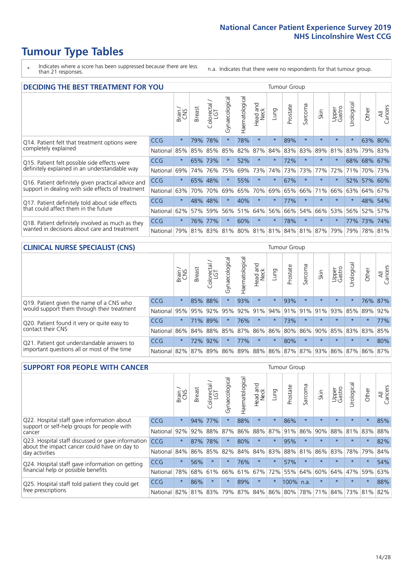\* Indicates where a score has been suppressed because there are less than 21 responses.

n.a. Indicates that there were no respondents for that tumour group.

| <b>DECIDING THE BEST TREATMENT FOR YOU</b>         |            |         |               |                        |                |                |                        |          | <b>Tumour Group</b> |                         |         |                 |            |         |                |
|----------------------------------------------------|------------|---------|---------------|------------------------|----------------|----------------|------------------------|----------|---------------------|-------------------------|---------|-----------------|------------|---------|----------------|
|                                                    |            | Brain   | <b>Breast</b> | olorectal.<br>LGT<br>Ũ | Gynaecological | Haematological | ad and<br>Neck<br>Head | Lung     | Prostate            | Sarcoma                 | Skin    | Upper<br>Gastro | Jrological | Other   | All<br>Cancers |
| Q14. Patient felt that treatment options were      | CCG        | $\star$ | 79%           | 78%                    | $\star$        | 78%            | $\star$                | $\star$  | 89%                 | $\star$                 | $\star$ | $\star$         | $\star$    | 63%     | 80%            |
| completely explained                               | National   | 85%     | 85%           | 85%                    | 85%            | 82%            | 87%                    | 84%      | 83%                 | 83%                     | 89%     | 81%             | 83%        | 79%     | 83%            |
| Q15. Patient felt possible side effects were       | <b>CCG</b> | $\star$ | 65%           | 73%                    | $\star$        | 52%            | $\star$                | $\star$  | 72%                 | $\star$                 | $\star$ | $\star$         |            | 68% 68% | 67%            |
| definitely explained in an understandable way      | National   | 69%     | 74%           | 76%                    | 75%            | 69%            | 73%                    | 74%      | 73%                 | 73%                     | 77%     | 72%             | 71%        | 70%     | 73%            |
| Q16. Patient definitely given practical advice and | CCG        | $\star$ | 65%           | 48%                    |                | 55%            | $\star$                | $^\star$ | 67%                 | $\star$                 |         | $\star$         |            | 52% 57% | 60%            |
| support in dealing with side effects of treatment  | National   | 63%     | 70%           | 70%                    | 69%            | 65%            | 70%                    | 69%      | 65%                 | 66%                     | 71%     | 66%             | 63%        | 64%     | 67%            |
| Q17. Patient definitely told about side effects    | CCG        | $\star$ | 48%           | 48%                    | $\star$        | 40%            | $\star$                | $\star$  | 77%                 | $\star$                 | $\star$ | $\star$         | $^\star$   | 48%     | 54%            |
| that could affect them in the future               | National   | 62%     | 57%           | 59%                    | 56%            | 51%            | 64%                    | 56%      | 66%                 | 54%                     | 66%     | 53%             | 56%        | 52%     | 57%            |
| Q18. Patient definitely involved as much as they   | CCG        | $\star$ | 76%           | 77%                    | $\star$        | 60%            | $\star$                | $\star$  | 78%                 | $\star$                 | $\star$ | $\star$         | 77%        | 173%    | 174%           |
| wanted in decisions about care and treatment       | National   | 79%     |               |                        | 81% 83% 81%    |                |                        |          |                     | 80% 81% 81% 84% 81% 87% |         | 79%             | 79%        | 78% 81% |                |

#### **CLINICAL NURSE SPECIALIST (CNS)** Tumour Group

|                                             |            | Brain   | <b>Breast</b> | Colorectal<br>LGT | $\overline{\sigma}$<br>aecologic<br>ĞĎ | Haematological  | Head and<br>Neck | <b>Dun</b> | Prostate | Sarcoma | Skin                        | Upper<br>Gastro | rological           | Other   | All<br>Cancers |
|---------------------------------------------|------------|---------|---------------|-------------------|----------------------------------------|-----------------|------------------|------------|----------|---------|-----------------------------|-----------------|---------------------|---------|----------------|
| Q19. Patient given the name of a CNS who    | <b>CCG</b> | $\star$ |               | 85% 88%           |                                        | 93%             | $\star$          | $\star$    | 93%      | $\star$ | $\star$                     | $\star$         | $\star$             |         | 76% 87%        |
| would support them through their treatment  | National   | 95%     | 95%           | 92%               | 95%                                    |                 | 92% 91%          |            | 94% 91%  | 91%     | 91%                         | 93%             | 85% 89%             |         | 92%            |
| Q20. Patient found it very or quite easy to | CCG        | $\star$ | 71%           | 89%               | $\star$                                | 76%             | $\star$          | $\star$    | 73%      | $\star$ | $\star$                     | $\star$         | $\star$             | $\star$ | 77%            |
| contact their CNS                           | National   | 86%     |               | 84% 88%           | 85%                                    | 87% 86% 86% 80% |                  |            |          | 86%     |                             |                 | 90% 85% 83% 83% 85% |         |                |
| Q21. Patient got understandable answers to  | CCG        | $\star$ | 72%           | 92%               |                                        | 77%             | $\star$          | $\star$    | 80%      | $\star$ | $\star$                     | $\star$         | $\star$             | $\star$ | 80%            |
| important questions all or most of the time | National   | 82%     | 87%           | 89%               |                                        |                 |                  |            |          |         | 86% 89% 88% 86% 87% 87% 93% |                 | 86% 87% 86% 87%     |         |                |

| <b>SUPPORT FOR PEOPLE WITH CANCER</b>                                                             |            |         |               |                        |                                     |                |                        |         | Tumour Group |         |         |                 |           |         |                |
|---------------------------------------------------------------------------------------------------|------------|---------|---------------|------------------------|-------------------------------------|----------------|------------------------|---------|--------------|---------|---------|-----------------|-----------|---------|----------------|
|                                                                                                   |            | Brain   | <b>Breast</b> | olorectal.<br>LGT<br>Ũ | $\overline{\sigma}$<br>Gynaecologic | Haematological | ad and<br>Neck<br>Head | Lung    | Prostate     | Sarcoma | Skin    | Upper<br>Gastro | Jrologica | Other   | All<br>Cancers |
| Q22. Hospital staff gave information about<br>support or self-help groups for people with         | <b>CCG</b> | $\star$ | 94%           | 77%                    | $\star$                             | 88%            | $\star$                | $\star$ | 86%          | $\star$ | $\star$ | $\star$         | $\star$   | $\star$ | 85%            |
| cancer                                                                                            | National   | 92%     | 92%           | 88%                    | 87%                                 | 86%            | 88%                    | 87%     | 91%          | 86%     | 90%     | 88%             | 81%       | 83%     | 88%            |
| Q23. Hospital staff discussed or gave information<br>about the impact cancer could have on day to | CCG        | $\star$ | 87%           | 78%                    | $\star$                             | 80%            | $\star$                | $\star$ | 95%          | $\star$ | $\star$ | $\star$         | $\star$   | $\star$ | 82%            |
| day activities                                                                                    | National   | 84%     | 86%           | 85%                    | 82%                                 | 84%            | 84%                    | 83%     | 88%          | 81%     | 86%     | 83%             | 78%       | 79%     | 84%            |
| Q24. Hospital staff gave information on getting                                                   | <b>CCG</b> | $\star$ | 56%           |                        | $\star$                             | 76%            | $\star$                | $\star$ | 57%          | $\star$ | $\star$ | $\star$         | $\star$   | $\star$ | 54%            |
| financial help or possible benefits                                                               | National   | 78%     | 68%           | 61%                    | 66%                                 | 61%            | 67%                    | 72%     | 55%          | 64%     | 60%     | 64%             | 47%       | 59%     | 63%            |
| Q25. Hospital staff told patient they could get                                                   | <b>CCG</b> | $\star$ | 86%           | $\star$                | $\star$                             | 89%            | $\star$                | $\star$ | 100%         | n.a.    | $\star$ | $\star$         | $\star$   | $\ast$  | 88%            |
| free prescriptions                                                                                | National   | 82%     |               | 81% 83%                | 79%                                 | 87%            |                        |         | 84% 86% 80%  |         | 78% 71% | 84%             | 73%       | 81%     | 82%            |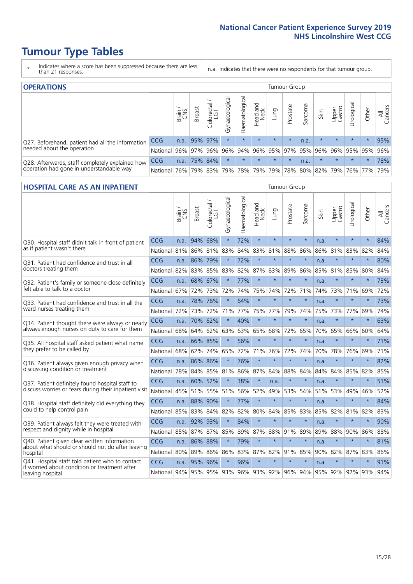- \* Indicates where a score has been suppressed because there are less than 21 responses.
- n.a. Indicates that there were no respondents for that tumour group.

| <b>OPERATIONS</b>                                |            |       |               |            |                   |                |                         |         | Tumour Group |         |         |                 |                                         |         |                |
|--------------------------------------------------|------------|-------|---------------|------------|-------------------|----------------|-------------------------|---------|--------------|---------|---------|-----------------|-----------------------------------------|---------|----------------|
|                                                  |            | Brain | <b>Breast</b> | Colorectal | ল<br>Gynaecologic | Haematological | Head and<br>Neck        | Lung    | Prostate     | Sarcoma | Skin    | Upper<br>Gastro | $\overline{\sigma}$<br>Irologica        | Other   | All<br>Cancers |
| Q27. Beforehand, patient had all the information | <b>CCG</b> | n.a.  | 95% 97%       |            | $\star$           | $\star$        | $\star$                 | $\star$ | $\star$      | n.a.    | $\star$ | $\star$         | $\star$                                 | $\star$ | 95%            |
| needed about the operation                       | National   | 96%   |               | 97% 96%    | 96%               |                | 94% 96% 95% 97% 95% 96% |         |              |         |         | 96%             |                                         | 95% 95% | 96%            |
| Q28. Afterwards, staff completely explained how  | <b>CCG</b> | n.a.  |               | 75% 84%    | $\star$           | $\star$        | $\star$                 | $\star$ | $\star$      | n.a.    | $\star$ | $\star$         | $\star$                                 | $\star$ | 78%            |
| operation had gone in understandable way         | National   | 76%   |               | 79% 83%    |                   |                | 79% 78% 79%             |         |              |         |         |                 | 79%   78%   80%   82%   79%   76%   77% |         | 79%            |

#### **HOSPITAL CARE AS AN INPATIENT** Tumour Group

|                                                                                                  |                                              | Brain | <b>Breast</b> | $\frac{\text{Colored}}{\text{LGT}}$ | Gynaecological | Haematological | Head and<br>Neck | Lung    | Prostate | Sarcoma | Skin | Upper<br>Gastro | Urological | Other   | Cancers<br>₹ |
|--------------------------------------------------------------------------------------------------|----------------------------------------------|-------|---------------|-------------------------------------|----------------|----------------|------------------|---------|----------|---------|------|-----------------|------------|---------|--------------|
| Q30. Hospital staff didn't talk in front of patient                                              | CCG                                          | n.a.  | 94%           | 68%                                 | $\star$        | 72%            | $\star$          | $\star$ | $\star$  | $\star$ | n.a. | $\star$         | $\star$    | $\star$ | 84%          |
| as if patient wasn't there                                                                       | National                                     | 81%   | 86%           | 81%                                 | 83%            | 84%            | 83%              | 81%     | 88%      | 86%     | 86%  | 81%             | 83%        | 82%     | 84%          |
| 031. Patient had confidence and trust in all                                                     | CCG                                          | n.a.  | 86% 79%       |                                     | $\star$        | 72%            | $\star$          | $\star$ | $\star$  | $\star$ | n.a. | $\star$         | $\star$    | $\star$ | 80%          |
| doctors treating them                                                                            | National                                     | 82%   | 83%           | 85%                                 | 83%            | 82%            |                  | 87% 83% | 89%      | 86%     | 85%  | 81%             | 85%        | 80%     | 84%          |
| Q32. Patient's family or someone close definitely                                                | <b>CCG</b>                                   | n.a.  |               | 68% 67%                             |                | 77%            | $\star$          | $\star$ | $\star$  | $\star$ | n.a. |                 | $\star$    | $\star$ | 73%          |
| felt able to talk to a doctor                                                                    | National                                     | 67%   | 72%           | 73%                                 | 72%            | 74%            | 75%              | 74%     | 72%      | 71%     | 74%  | 73%             | 71%        | 69%     | 72%          |
| Q33. Patient had confidence and trust in all the                                                 | <b>CCG</b>                                   | n.a.  |               | 78% 76%                             |                | 64%            | $\star$          | $\star$ | $\star$  | $\star$ | n.a. | $\star$         | $\star$    | $\star$ | 73%          |
| ward nurses treating them                                                                        | National                                     | 72%   |               | 73% 72%                             | 71%            |                | 77% 75% 77%      |         | 79%      | 74%     | 75%  | 73%             | 77%        | 69%     | 74%          |
| Q34. Patient thought there were always or nearly                                                 | CCG                                          | n.a.  |               | 70% 62%                             | $\star$        | 40%            | $\star$          | $\star$ | $\star$  | $\star$ | n.a. | $\star$         | $\star$    | $\star$ | 63%          |
| always enough nurses on duty to care for them                                                    | National                                     | 68%   |               | 64% 62%                             | 63%            |                | 63% 65%          | 68%     | 72%      | 65%     | 70%  | 65%             | 66%        | 60%     | 64%          |
| Q35. All hospital staff asked patient what name                                                  | CCG                                          | n.a.  | 66% 85%       |                                     | $\star$        | 56%            | $\star$          | $\star$ | $\star$  | $\star$ | n.a. | $\star$         | $\star$    | $\star$ | 71%          |
| they prefer to be called by                                                                      | National                                     | 68%   | 62%           | 74%                                 | 65%            | 72%            | 71%              | 76%     | 72%      | 74%     | 70%  | 78%             | 76%        | 69%     | 71%          |
| Q36. Patient always given enough privacy when                                                    | CCG                                          | n.a.  | 86% 86%       |                                     | $\star$        | 76%            | $\star$          | $\star$ | $\star$  | $\star$ | n.a. | $\star$         | $\star$    | $\star$ | 82%          |
| discussing condition or treatment                                                                | National                                     | 78%   |               | 84% 85%                             | 81%            |                | 86% 87% 84%      |         | 88%      | 84%     | 84%  | 84%             | 85%        | 82%     | 85%          |
| Q37. Patient definitely found hospital staff to                                                  | <b>CCG</b>                                   | n.a.  | 60% 52%       |                                     |                | 38%            | $\star$          | n.a.    | $\star$  | $\star$ | n.a. | $\star$         | $\star$    | $\star$ | 51%          |
| discuss worries or fears during their inpatient visit                                            | National                                     | 45%   |               | 51% 55%                             | 51%            |                | 56% 52%          | 49%     | 53%      | 54%     | 51%  | 53%             | 49%        | 46%     | 52%          |
| Q38. Hospital staff definitely did everything they                                               | CCG                                          |       | n.a. 88% 90%  |                                     | $\star$        | 77%            | $\star$          | $\star$ | $\star$  | $\star$ | n.a. | $\star$         | $\star$    | $\star$ | 84%          |
| could to help control pain                                                                       | National                                     | 85%   |               | 83% 84%                             | 82%            | 82%            | 80%              | 84%     | 85%      | 83%     | 85%  | 82%             | 81%        | 82%     | 83%          |
| Q39. Patient always felt they were treated with                                                  | CCG                                          | n.a.  | 92% 93%       |                                     | $\star$        | 84%            | $\star$          | $\star$ | $\star$  | $\star$ | n.a. | $\star$         | $\star$    | $\ast$  | 90%          |
| respect and dignity while in hospital                                                            | National                                     | 85%   | 87%           | 87%                                 | 85%            | 89%            | 87%              | 88%     | 91%      | 89%     | 89%  | 88%             | 90%        | 86%     | 88%          |
| Q40. Patient given clear written information<br>about what should or should not do after leaving | <b>CCG</b>                                   | n.a.  | 86% 88%       |                                     |                | 79%            | $\star$          | $\star$ | $\star$  | $\star$ | n.a. |                 | $\star$    | $\star$ | 81%          |
| hospital                                                                                         | National                                     | 80%   | 89%           | 86%                                 | 86%            | 83%            |                  | 87% 82% | 91%      | 85%     | 90%  | 82%             | 87%        | 83%     | 86%          |
| Q41. Hospital staff told patient who to contact<br>if worried about condition or treatment after | CCG                                          | n.a.  | 95% 96%       |                                     | $\star$        | 96%            | $\star$          | $\star$ | $\star$  | $\star$ | n.a. | $\star$         | $\star$    | $\star$ | 91%          |
| leaving hospital                                                                                 | National 94% 95% 95% 93% 96% 93% 92% 96% 94% |       |               |                                     |                |                |                  |         |          |         |      | 95% 92% 92% 93% |            |         | 94%          |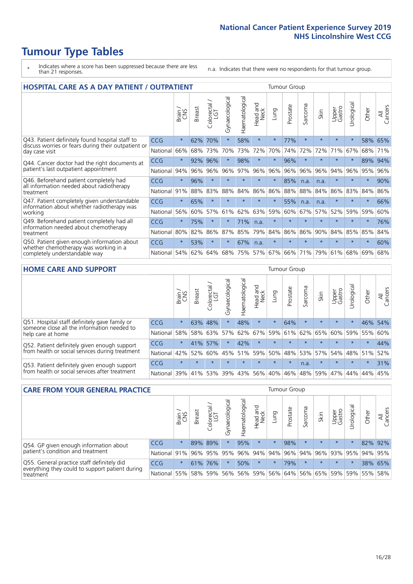# **Tumour Type Tables**

- \* Indicates where a score has been suppressed because there are less than 21 responses.
- n.a. Indicates that there were no respondents for that tumour group.

| <b>HOSPITAL CARE AS A DAY PATIENT / OUTPATIENT</b>                                                                    |            |         |               |                 |                |                |                         |          | <b>Tumour Group</b> |         |         |                 |            |         |                |
|-----------------------------------------------------------------------------------------------------------------------|------------|---------|---------------|-----------------|----------------|----------------|-------------------------|----------|---------------------|---------|---------|-----------------|------------|---------|----------------|
|                                                                                                                       |            | Brain   | <b>Breast</b> | ∽<br>Colorectal | Gynaecological | Haematological | ead and<br>Neck<br>Head | Lung     | Prostate            | Sarcoma | Skin    | Upper<br>Gastro | Urological | Other   | All<br>Cancers |
| Q43. Patient definitely found hospital staff to                                                                       | <b>CCG</b> | $\star$ | 62%           | 70%             | $\star$        | 58%            | $\star$                 | $^\star$ | 77%                 | $\star$ | $\star$ | $\star$         | $\star$    | 58%     | 65%            |
| discuss worries or fears during their outpatient or<br>day case visit                                                 | National   | 66%     | 68%           | 73%             | 70%            | 73%            | 72%                     | 70%      | 74%                 | 72%     | 72%     | 71%             | 67%        | 68%     | 71%            |
| Q44. Cancer doctor had the right documents at<br>patient's last outpatient appointment                                | CCG        | $\star$ | 92%           | 96%             | $\star$        | 98%            | $\star$                 | $\star$  | 96%                 | $\star$ | $\star$ | $\star$         | $\star$    | 89%     | 94%            |
|                                                                                                                       | National   | 94%     | 96%           | 96%             | 96%            | 97%            | 96%                     | 96%      | 96%                 | 96%     | 96%     | 94%             | 96%        | 95%     | 96%            |
| Q46. Beforehand patient completely had                                                                                | <b>CCG</b> | $\star$ | 96%           | $\star$         | $\star$        | $\star$        | $\star$                 | $\star$  | 85%                 | n.a.    | n.a.    | $\star$         | $\star$    | $\star$ | 90%            |
| all information needed about radiotherapy<br>treatment                                                                | National   | 91%     | 88%           | 83%             | 88%            | 84%            | 86%                     | 86%      | 88%                 | 88%     | 84%     | 86%             | 83%        | 84%     | 86%            |
| Q47. Patient completely given understandable                                                                          | <b>CCG</b> | $\star$ | 65%           | $\star$         |                |                | $\star$                 | $\star$  | 55%                 | n.a.    | n.a.    | $\star$         |            | $\ast$  | 66%            |
| information about whether radiotherapy was<br>working                                                                 | National   | 56%     | 60%           | 57%             | 61%            | 62%            | 63%                     | 59%      | 60%                 | 67%     | 57%     | 52%             | 59%        | 59%     | 60%            |
| Q49. Beforehand patient completely had all                                                                            | CCG        | $\star$ | 75%           | $\star$         | $^\star$       | 71%            | n.a.                    | $\star$  | $\star$             | $\star$ | $\star$ | $\star$         | $\star$    | $\star$ | 76%            |
| information needed about chemotherapy<br>treatment                                                                    | National   | 80%     | 82%           | 86%             | 87%            | 85%            | 79%                     | 84%      | 86%                 | 86%     | 90%     | 84%             | 85%        | 85%     | 84%            |
| Q50. Patient given enough information about<br>whether chemotherapy was working in a<br>completely understandable way | <b>CCG</b> | $\star$ | 53%           | $\star$         |                | 67%            | n.a.                    | $\star$  | $\star$             | $\star$ |         |                 |            | $\star$ | 60%            |
|                                                                                                                       | National   | 54%     | 62%           | 64%             | 68%            | 75%            |                         | 57% 67%  | 66%                 | 71%     | 79%     | 61%             | 68%        | 69%     | 68%            |

#### **HOME CARE AND SUPPORT** Tumour Group

|                                                                                                                   |            | Brain   | <b>Breast</b> | Colorectal<br>LGT | ᢛ<br>Gynaecologic | Haematological | Head and<br>Neck | <b>Dung</b> | Prostate | Sarcoma | Skin    | Upper<br>Gastro | rological   | Other   | All<br>Cancers |
|-------------------------------------------------------------------------------------------------------------------|------------|---------|---------------|-------------------|-------------------|----------------|------------------|-------------|----------|---------|---------|-----------------|-------------|---------|----------------|
| Q51. Hospital staff definitely gave family or<br>someone close all the information needed to<br>help care at home | <b>CCG</b> | $\star$ | 63%           | 48%               |                   | 48%            | $\star$          | $\star$     | 64%      | $\star$ | $\star$ | $\star$         | $\star$     | 46%     | 54%            |
|                                                                                                                   | National   | 58%     |               | 58% 63%           | 57%               | 62% 67%        |                  |             | 59% 61%  |         | 62% 65% |                 | 60% 59% 55% |         | 60%            |
| Q52. Patient definitely given enough support<br>from health or social services during treatment                   | <b>CCG</b> | $\star$ | 41% 57%       |                   | $\star$           | 42%            | $\star$          | $\star$     | $\star$  |         | $\star$ | $\star$         | $\star$     | $\star$ | 44%            |
|                                                                                                                   | National   | 42%     | 52%           | 60%               |                   | 45% 51%        | 59%              | 50%         | 48%      |         | 53% 57% |                 | 54% 48% 51% |         | 52%            |
| Q53. Patient definitely given enough support<br>from health or social services after treatment                    | <b>CCG</b> | $\star$ |               |                   | $\star$           |                | $\star$          | $\star$     | $\star$  | n.a.    | $\star$ | $\star$         | $\star$     | $\star$ | 31%            |
|                                                                                                                   | National l | 39%     | 41% 53%       |                   | 39%               | $ 43\% $       | 56%              | 40%         | 46%      | 48%     | 59%     | 47%             | 44%         | 44%     | 45%            |

| <b>CARE FROM YOUR GENERAL PRACTICE</b>                                                                     |              |         |               |                   |                |                |                  |         | Tumour Group    |         |         |                 |           |         |                |  |  |  |  |  |
|------------------------------------------------------------------------------------------------------------|--------------|---------|---------------|-------------------|----------------|----------------|------------------|---------|-----------------|---------|---------|-----------------|-----------|---------|----------------|--|--|--|--|--|
|                                                                                                            |              | Brain   | <b>Breast</b> | Colorectal<br>LGT | Gynaecological | Haematological | Head and<br>Neck | Lung    | Prostate        | Sarcoma | Skin    | Upper<br>Gastro | Urologica | Other   | All<br>Cancers |  |  |  |  |  |
| Q54. GP given enough information about<br>patient's condition and treatment                                | CCG          | $\star$ |               | 89% 89%           | $\star$        | 95%            | $\star$          | $\star$ | 98%             | $\star$ | $\star$ | $\star$         | $\star$   | 82% 92% |                |  |  |  |  |  |
|                                                                                                            | National 91% |         |               | 96% 95%           | 95%            |                |                  |         | 96% 94% 94% 96% |         | 94% 96% | 93% 95% 94% 95% |           |         |                |  |  |  |  |  |
| Q55. General practice staff definitely did<br>everything they could to support patient during<br>treatment | <b>CCG</b>   | $\star$ | 61%           | 76%               | $\star$        | 50%            | $\star$          | $\star$ | 79%             | $\star$ | $\star$ | $\star$         | $\star$   |         | 38% 65%        |  |  |  |  |  |
|                                                                                                            | National     | 55%     |               | 58% 59%           | 56%            |                | 56% 59%          |         | 56% 64%         |         | 56% 65% | 59%             | 59% 55%   |         | 58%            |  |  |  |  |  |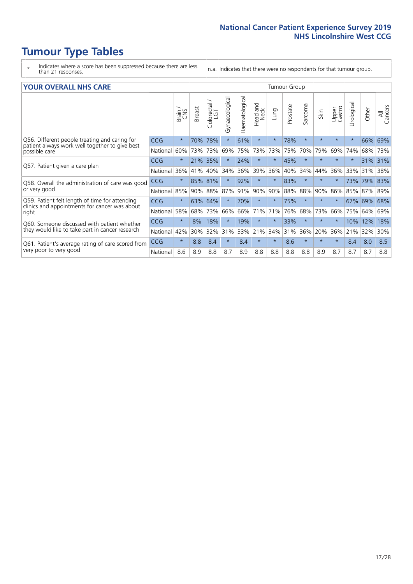- \* Indicates where a score has been suppressed because there are less than 21 responses.
- n.a. Indicates that there were no respondents for that tumour group.

#### **YOUR OVERALL NHS CARE** THE CONSTRUCTION OF THE THROUP GROUP TUMOUR GROUP

| UN V V LIVALL IVI 19 GAINL |                                                                                                       |               |                             |                |                |                                |         |          |                      |         |                 |               |            |                |  |  |  |  |  |  |
|----------------------------|-------------------------------------------------------------------------------------------------------|---------------|-----------------------------|----------------|----------------|--------------------------------|---------|----------|----------------------|---------|-----------------|---------------|------------|----------------|--|--|--|--|--|--|
|                            | Brain<br>CNS                                                                                          | <b>Breast</b> | colorectal<br>LGT<br>$\cup$ | Gynaecological | Haematological | <b>Bad and</b><br>Neck<br>Head | Lung    | Prostate | arcoma<br>$\sqrt{ }$ | Skin    | Upper<br>Gastro | ී<br>Urologia | Other      | All<br>Cancers |  |  |  |  |  |  |
| <b>CCG</b>                 | $\star$                                                                                               | 70%           | 78%                         | $\star$        | 61%            | $\star$                        | $\star$ | 78%      | $\star$              | $\star$ | $\star$         | $\star$       | 66%        | 69%            |  |  |  |  |  |  |
| National                   | 60%                                                                                                   | 73%           | 73%                         | 69%            | 75%            | 73%                            | 73%     | 75%      | 70%                  | 79%     | 69%             | 74%           | 68%        | 73%            |  |  |  |  |  |  |
| <b>CCG</b>                 | $\star$                                                                                               |               | 35%                         |                | 24%            | $\ast$                         | $\star$ | 45%      | $\star$              | $\star$ | $\star$         | $\star$       | 31%        | 31%            |  |  |  |  |  |  |
| National                   | 36%                                                                                                   | 41%           | 40%                         | 34%            | 36%            | 39%                            | 36%     | 40%      | 34%                  | 44%     | 36%             | 33%           | 31%        | 38%            |  |  |  |  |  |  |
| <b>CCG</b>                 | $\star$                                                                                               | 85%           | 81%                         |                | 92%            | $\ast$                         | $\star$ | 83%      | $\star$              | $\star$ |                 | 73%           | 79%        | 83%            |  |  |  |  |  |  |
| National                   |                                                                                                       | 90%           | 88%                         | 87%            | 91%            | 90%                            | 90%     | 88%      | 88%                  | 90%     | 86%             |               |            | 89%            |  |  |  |  |  |  |
| <b>CCG</b>                 | $\star$                                                                                               | 63%           | 64%                         |                | 70%            | $\star$                        | $\star$ | 75%      | $\star$              | $\star$ | $\star$         |               |            | 68%            |  |  |  |  |  |  |
| National                   | 58%                                                                                                   | 68%           | 73%                         | 66%            | 66%            | 71%                            | 71%     | 76%      | 68%                  | 73%     | 66%             | 75%           | 64%        | 69%            |  |  |  |  |  |  |
| <b>CCG</b>                 | $\star$                                                                                               | 8%            | 18%                         | $\star$        | 19%            | $\star$                        | $\star$ | 33%      | $\star$              | $\star$ | $\star$         | 10%           | 12%        | 18%            |  |  |  |  |  |  |
| National                   | 42%                                                                                                   | 30%           | 32%                         | 31%            | 33%            |                                | 34%     | 31%      | 36%                  | 20%     | 36%             | 21%           | 32%        | 30%            |  |  |  |  |  |  |
| <b>CCG</b>                 | $\star$                                                                                               | 8.8           | 8.4                         | $\star$        | 8.4            | $\star$                        | $\star$ | 8.6      | $\star$              | $\star$ | $\star$         | 8.4           | 8.0        | 8.5            |  |  |  |  |  |  |
| National                   | 8.6                                                                                                   | 8.9           | 8.8                         | 8.7            | 8.9            | 8.8                            | 8.8     | 8.8      | 8.8                  | 8.9     | 8.7             | 8.7           | 8.7        | 8.8            |  |  |  |  |  |  |
|                            | Q58. Overall the administration of care was good<br>Q61. Patient's average rating of care scored from | 85%           |                             | 21%            |                |                                | 21%     |          |                      |         |                 |               | 85%<br>67% | 87%<br>69%     |  |  |  |  |  |  |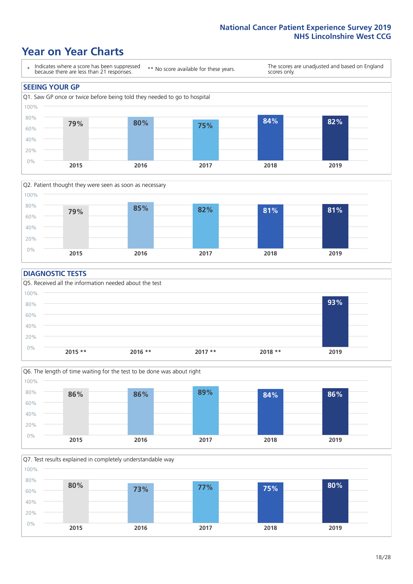### **Year on Year Charts**





#### **DIAGNOSTIC TESTS**





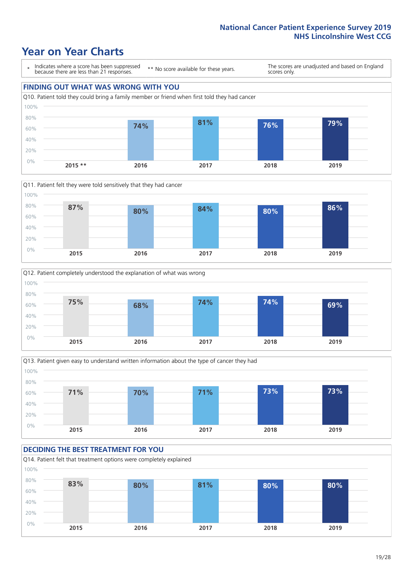### **Year on Year Charts**

\* Indicates where a score has been suppressed because there are less than 21 responses.

\*\* No score available for these years.

The scores are unadjusted and based on England scores only.









#### **DECIDING THE BEST TREATMENT FOR YOU** Q14. Patient felt that treatment options were completely explained 0% 20% 40% 60% 80% 100% **2015 2016 2017 2018 2019 83% 80% 81% 80% 80%**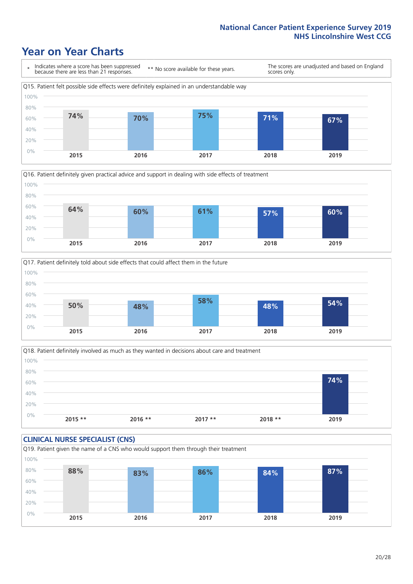### **Year on Year Charts**







Q18. Patient definitely involved as much as they wanted in decisions about care and treatment  $0%$ 20% 40% 60% 80% 100% **2015 \*\* 2016 \*\* 2017 \*\* 2018 \*\* 2019 74%**

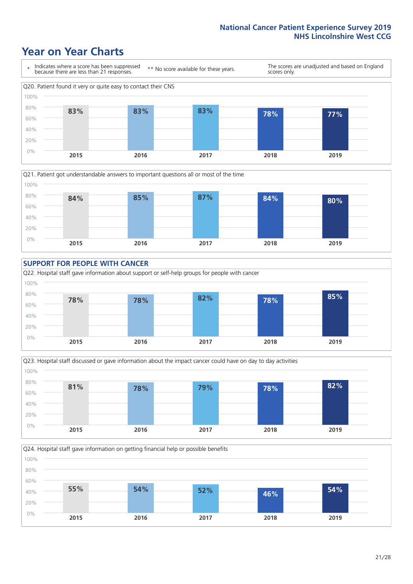### **Year on Year Charts**











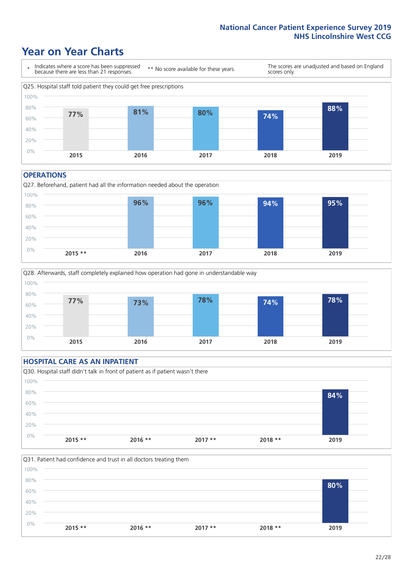### **Year on Year Charts**



#### **OPERATIONS**





#### **HOSPITAL CARE AS AN INPATIENT** Q30. Hospital staff didn't talk in front of patient as if patient wasn't there 0% 20% 40% 60% 80% 100% **2015 \*\* 2016 \*\* 2017 \*\* 2018 \*\* 2019 84%**

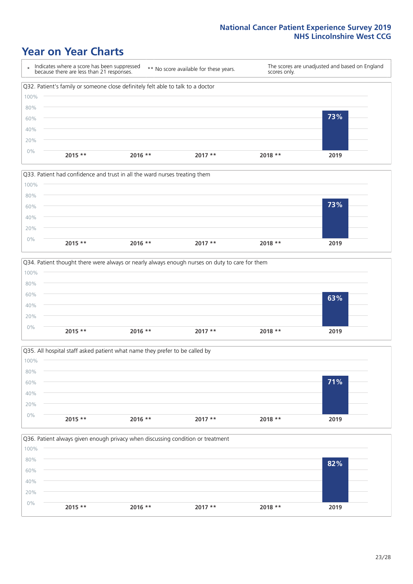### **Year on Year Charts**









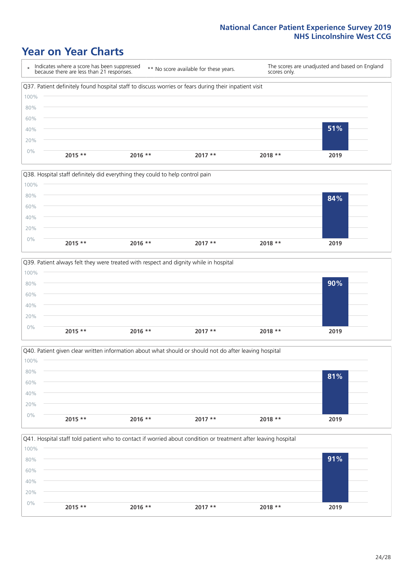### **Year on Year Charts**









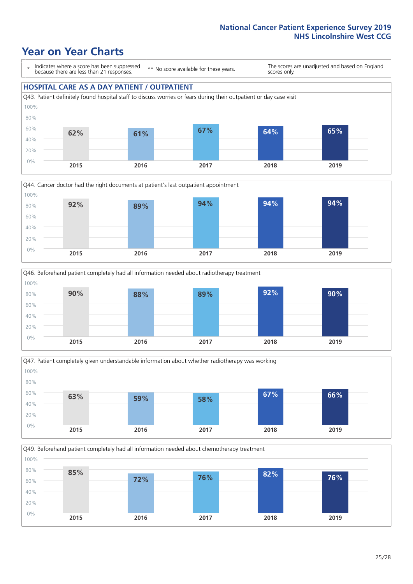### **Year on Year Charts**

\* Indicates where a score has been suppressed because there are less than 21 responses.

\*\* No score available for these years.

The scores are unadjusted and based on England scores only.

#### **HOSPITAL CARE AS A DAY PATIENT / OUTPATIENT**









Q49. Beforehand patient completely had all information needed about chemotherapy treatment 0% 20% 40% 60% 80% 100% **2015 2016 2017 2018 2019 85% 72% 76% 82% 76%**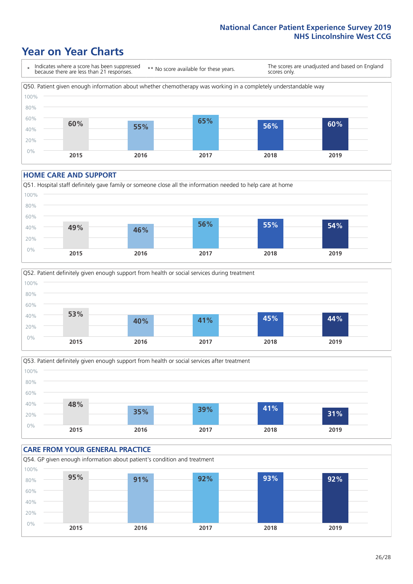### **Year on Year Charts**

\* Indicates where a score has been suppressed because there are less than 21 responses. \*\* No score available for these years. The scores are unadjusted and based on England scores only. Q50. Patient given enough information about whether chemotherapy was working in a completely understandable way 0% 20% 40% 60% 80% 100% **2015 2016 2017 2018 2019 60% 55% 65% 56% 60%**

#### **HOME CARE AND SUPPORT**







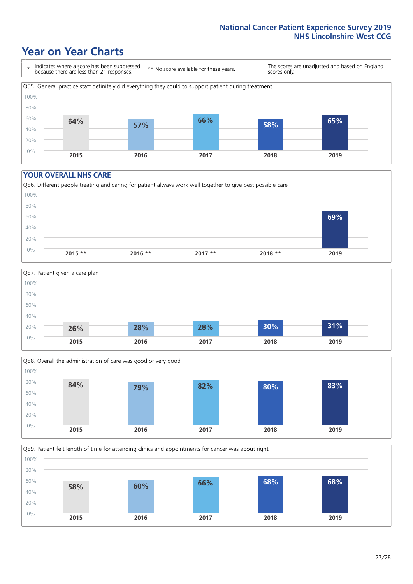### **Year on Year Charts**

\* Indicates where a score has been suppressed because there are less than 21 responses.

\*\* No score available for these years.

The scores are unadjusted and based on England scores only.



#### **YOUR OVERALL NHS CARE**







Q59. Patient felt length of time for attending clinics and appointments for cancer was about right